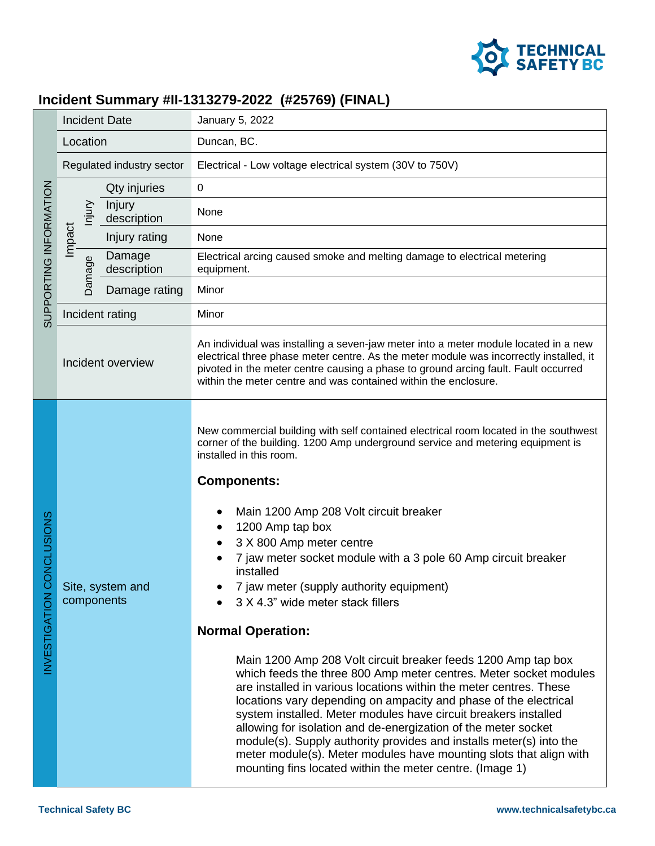

## **Incident Summary #II-1313279-2022 (#25769) (FINAL)**

| SUPPORTING INFORMATION       | <b>Incident Date</b>            | January 5, 2022                                                                                                                                                                                                                                                                                                                                                                                                                                                                                                                                                                                                                                                                                                                                                                                                                                                                                                                                                                                                                                                                                                                             |
|------------------------------|---------------------------------|---------------------------------------------------------------------------------------------------------------------------------------------------------------------------------------------------------------------------------------------------------------------------------------------------------------------------------------------------------------------------------------------------------------------------------------------------------------------------------------------------------------------------------------------------------------------------------------------------------------------------------------------------------------------------------------------------------------------------------------------------------------------------------------------------------------------------------------------------------------------------------------------------------------------------------------------------------------------------------------------------------------------------------------------------------------------------------------------------------------------------------------------|
|                              | Location                        | Duncan, BC.                                                                                                                                                                                                                                                                                                                                                                                                                                                                                                                                                                                                                                                                                                                                                                                                                                                                                                                                                                                                                                                                                                                                 |
|                              | Regulated industry sector       | Electrical - Low voltage electrical system (30V to 750V)                                                                                                                                                                                                                                                                                                                                                                                                                                                                                                                                                                                                                                                                                                                                                                                                                                                                                                                                                                                                                                                                                    |
|                              | Qty injuries                    | $\pmb{0}$                                                                                                                                                                                                                                                                                                                                                                                                                                                                                                                                                                                                                                                                                                                                                                                                                                                                                                                                                                                                                                                                                                                                   |
|                              | Injury<br>Injury<br>description | None                                                                                                                                                                                                                                                                                                                                                                                                                                                                                                                                                                                                                                                                                                                                                                                                                                                                                                                                                                                                                                                                                                                                        |
|                              | Impact<br>Injury rating         | None                                                                                                                                                                                                                                                                                                                                                                                                                                                                                                                                                                                                                                                                                                                                                                                                                                                                                                                                                                                                                                                                                                                                        |
|                              | Damage<br>Damage<br>description | Electrical arcing caused smoke and melting damage to electrical metering<br>equipment.                                                                                                                                                                                                                                                                                                                                                                                                                                                                                                                                                                                                                                                                                                                                                                                                                                                                                                                                                                                                                                                      |
|                              | Damage rating                   | Minor                                                                                                                                                                                                                                                                                                                                                                                                                                                                                                                                                                                                                                                                                                                                                                                                                                                                                                                                                                                                                                                                                                                                       |
|                              | Incident rating                 | Minor                                                                                                                                                                                                                                                                                                                                                                                                                                                                                                                                                                                                                                                                                                                                                                                                                                                                                                                                                                                                                                                                                                                                       |
|                              | Incident overview               | An individual was installing a seven-jaw meter into a meter module located in a new<br>electrical three phase meter centre. As the meter module was incorrectly installed, it<br>pivoted in the meter centre causing a phase to ground arcing fault. Fault occurred<br>within the meter centre and was contained within the enclosure.                                                                                                                                                                                                                                                                                                                                                                                                                                                                                                                                                                                                                                                                                                                                                                                                      |
| ONCLUSIONS<br>NVESTIGATION C | Site, system and<br>components  | New commercial building with self contained electrical room located in the southwest<br>corner of the building. 1200 Amp underground service and metering equipment is<br>installed in this room.<br><b>Components:</b><br>Main 1200 Amp 208 Volt circuit breaker<br>1200 Amp tap box<br>3 X 800 Amp meter centre<br>7 jaw meter socket module with a 3 pole 60 Amp circuit breaker<br>installed<br>7 jaw meter (supply authority equipment)<br>3 X 4.3" wide meter stack fillers<br><b>Normal Operation:</b><br>Main 1200 Amp 208 Volt circuit breaker feeds 1200 Amp tap box<br>which feeds the three 800 Amp meter centres. Meter socket modules<br>are installed in various locations within the meter centres. These<br>locations vary depending on ampacity and phase of the electrical<br>system installed. Meter modules have circuit breakers installed<br>allowing for isolation and de-energization of the meter socket<br>module(s). Supply authority provides and installs meter(s) into the<br>meter module(s). Meter modules have mounting slots that align with<br>mounting fins located within the meter centre. (Image 1) |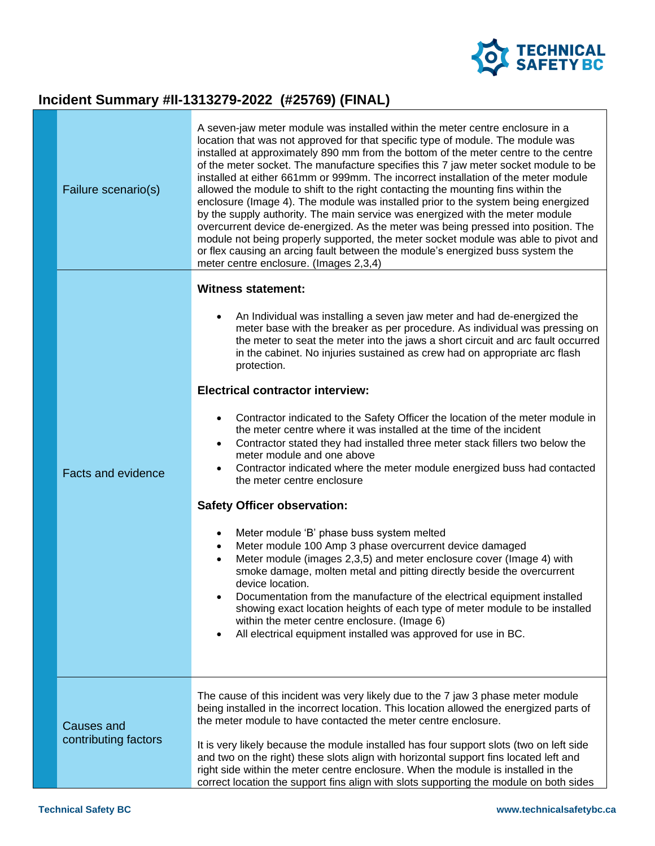

# **Incident Summary #II-1313279-2022 (#25769) (FINAL)**

| Failure scenario(s)       | A seven-jaw meter module was installed within the meter centre enclosure in a<br>location that was not approved for that specific type of module. The module was<br>installed at approximately 890 mm from the bottom of the meter centre to the centre<br>of the meter socket. The manufacture specifies this 7 jaw meter socket module to be<br>installed at either 661mm or 999mm. The incorrect installation of the meter module<br>allowed the module to shift to the right contacting the mounting fins within the<br>enclosure (Image 4). The module was installed prior to the system being energized<br>by the supply authority. The main service was energized with the meter module<br>overcurrent device de-energized. As the meter was being pressed into position. The<br>module not being properly supported, the meter socket module was able to pivot and<br>or flex causing an arcing fault between the module's energized buss system the<br>meter centre enclosure. (Images 2,3,4) |
|---------------------------|--------------------------------------------------------------------------------------------------------------------------------------------------------------------------------------------------------------------------------------------------------------------------------------------------------------------------------------------------------------------------------------------------------------------------------------------------------------------------------------------------------------------------------------------------------------------------------------------------------------------------------------------------------------------------------------------------------------------------------------------------------------------------------------------------------------------------------------------------------------------------------------------------------------------------------------------------------------------------------------------------------|
|                           | <b>Witness statement:</b>                                                                                                                                                                                                                                                                                                                                                                                                                                                                                                                                                                                                                                                                                                                                                                                                                                                                                                                                                                              |
|                           | An Individual was installing a seven jaw meter and had de-energized the<br>$\bullet$<br>meter base with the breaker as per procedure. As individual was pressing on<br>the meter to seat the meter into the jaws a short circuit and arc fault occurred<br>in the cabinet. No injuries sustained as crew had on appropriate arc flash<br>protection.                                                                                                                                                                                                                                                                                                                                                                                                                                                                                                                                                                                                                                                   |
|                           | <b>Electrical contractor interview:</b>                                                                                                                                                                                                                                                                                                                                                                                                                                                                                                                                                                                                                                                                                                                                                                                                                                                                                                                                                                |
| <b>Facts and evidence</b> | Contractor indicated to the Safety Officer the location of the meter module in<br>$\bullet$<br>the meter centre where it was installed at the time of the incident<br>Contractor stated they had installed three meter stack fillers two below the<br>$\bullet$<br>meter module and one above<br>Contractor indicated where the meter module energized buss had contacted<br>$\bullet$<br>the meter centre enclosure                                                                                                                                                                                                                                                                                                                                                                                                                                                                                                                                                                                   |
|                           | <b>Safety Officer observation:</b>                                                                                                                                                                                                                                                                                                                                                                                                                                                                                                                                                                                                                                                                                                                                                                                                                                                                                                                                                                     |
|                           | Meter module 'B' phase buss system melted<br>$\bullet$<br>Meter module 100 Amp 3 phase overcurrent device damaged<br>$\bullet$<br>Meter module (images 2,3,5) and meter enclosure cover (Image 4) with<br>$\bullet$<br>smoke damage, molten metal and pitting directly beside the overcurrent<br>device location.<br>Documentation from the manufacture of the electrical equipment installed<br>٠<br>showing exact location heights of each type of meter module to be installed<br>within the meter centre enclosure. (Image 6)<br>All electrical equipment installed was approved for use in BC.<br>$\bullet$                                                                                                                                                                                                                                                                                                                                                                                       |
| Causes and                | The cause of this incident was very likely due to the 7 jaw 3 phase meter module<br>being installed in the incorrect location. This location allowed the energized parts of<br>the meter module to have contacted the meter centre enclosure.                                                                                                                                                                                                                                                                                                                                                                                                                                                                                                                                                                                                                                                                                                                                                          |
| contributing factors      | It is very likely because the module installed has four support slots (two on left side<br>and two on the right) these slots align with horizontal support fins located left and<br>right side within the meter centre enclosure. When the module is installed in the<br>correct location the support fins align with slots supporting the module on both sides                                                                                                                                                                                                                                                                                                                                                                                                                                                                                                                                                                                                                                        |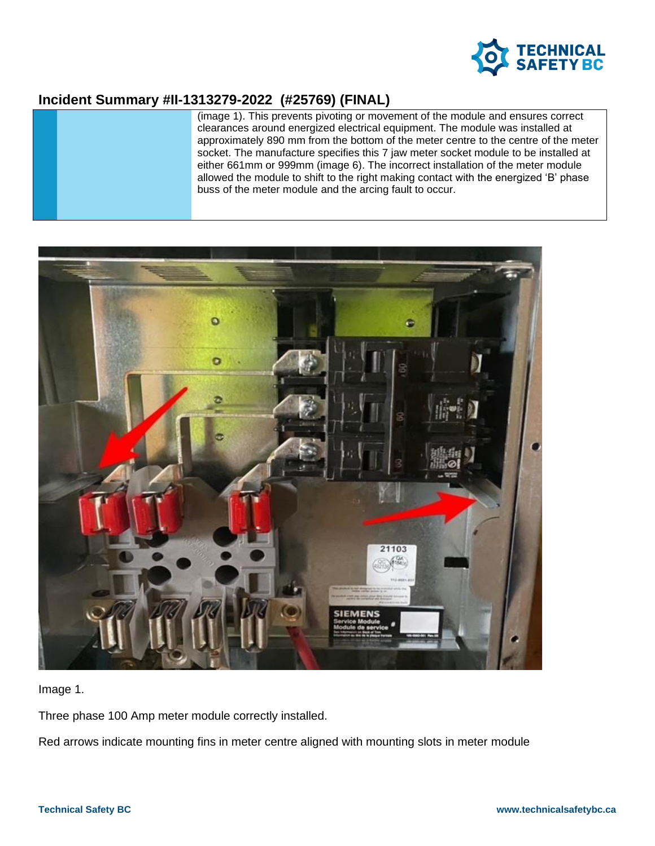

### **Incident Summary #II-1313279-2022 (#25769) (FINAL)**

(image 1). This prevents pivoting or movement of the module and ensures correct clearances around energized electrical equipment. The module was installed at approximately 890 mm from the bottom of the meter centre to the centre of the meter socket. The manufacture specifies this 7 jaw meter socket module to be installed at either 661mm or 999mm (image 6). The incorrect installation of the meter module allowed the module to shift to the right making contact with the energized 'B' phase buss of the meter module and the arcing fault to occur.



Image 1.

Three phase 100 Amp meter module correctly installed.

Red arrows indicate mounting fins in meter centre aligned with mounting slots in meter module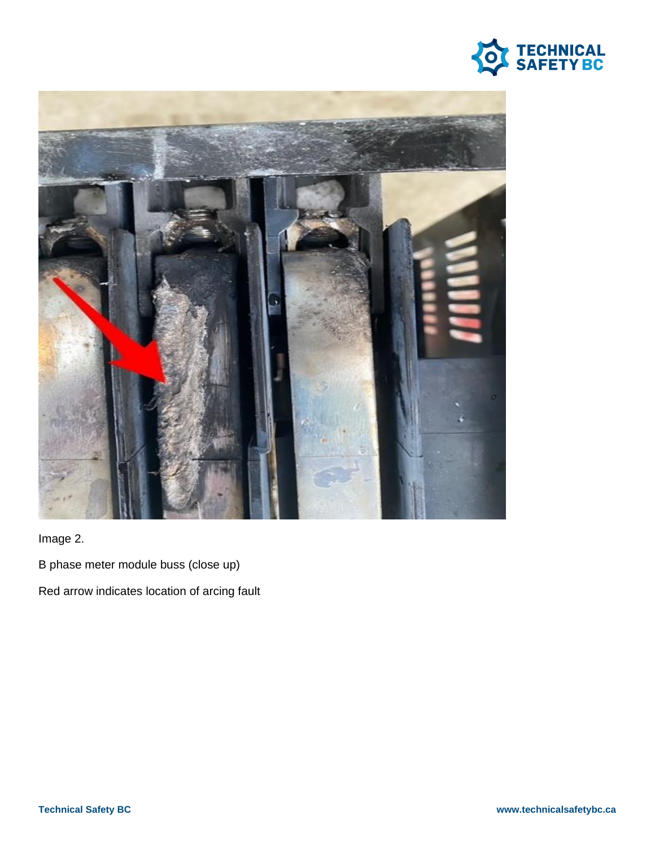



Image 2.

B phase meter module buss (close up)

Red arrow indicates location of arcing fault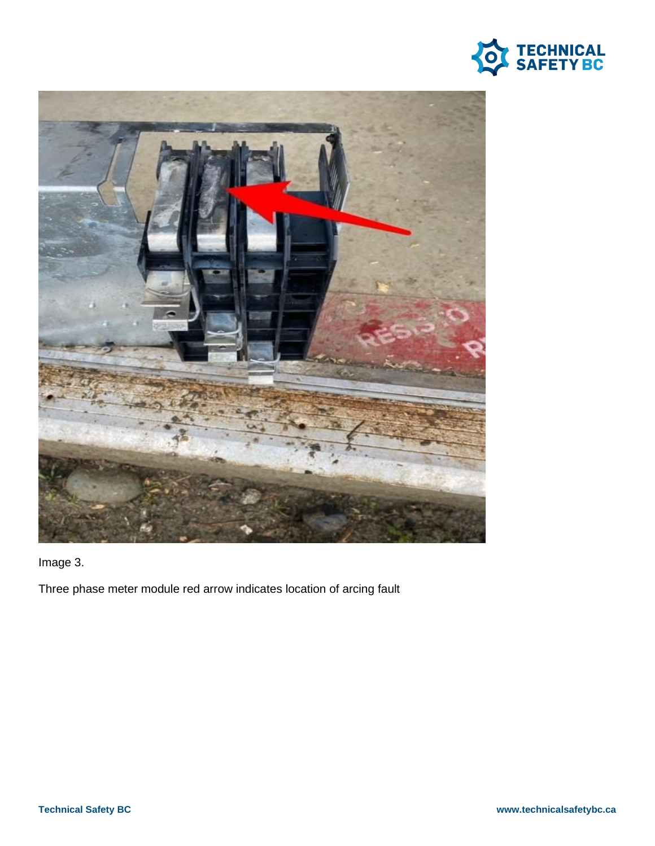



Image 3.

Three phase meter module red arrow indicates location of arcing fault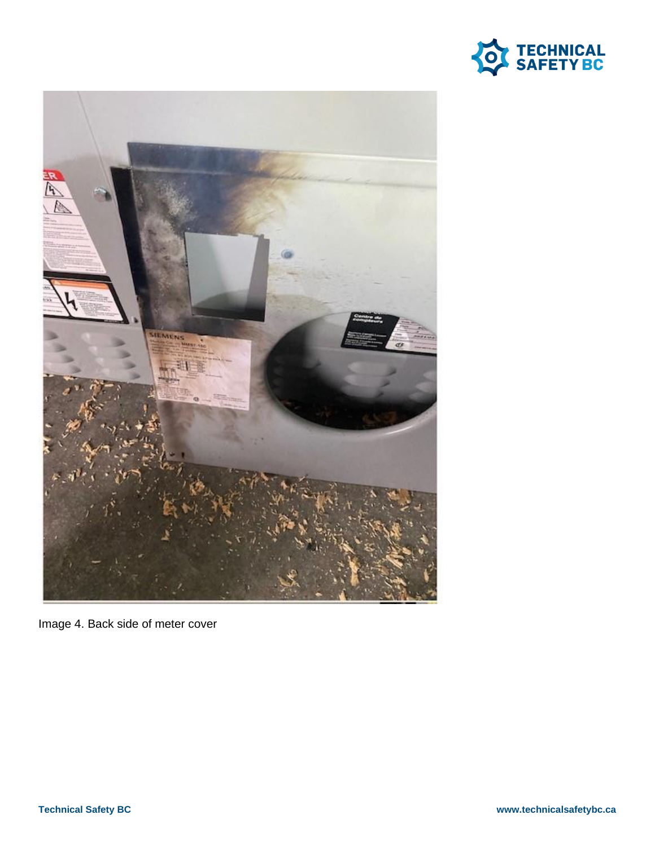



Image 4. Back side of meter cover